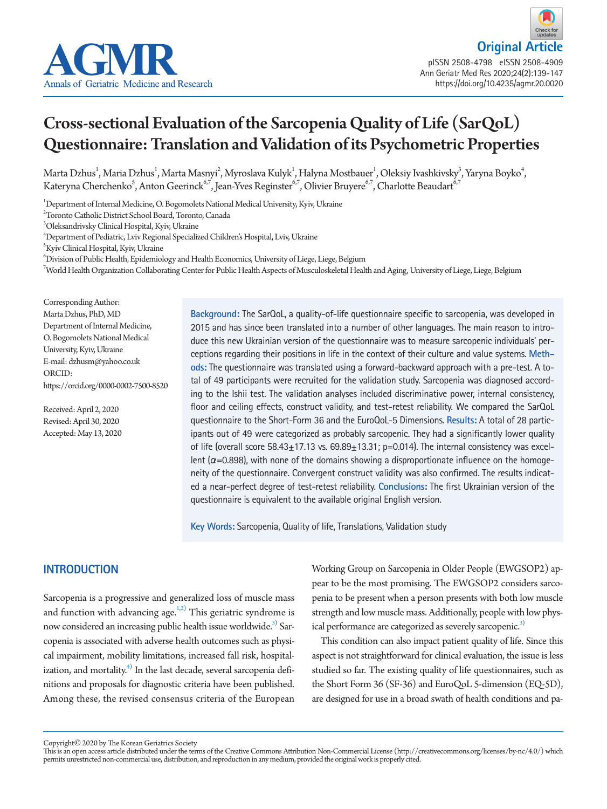

**Original Artic** pISSN 2508-4798 eISSN 2508-4909 Ann Geriatr Med Res 2020;24(2):139-147 https://doi.org/10.4235/agmr.20.0020

# Cross-sectional Evaluation of the Sarcopenia Quality of Life (SarQoL) Questionnaire: Translation and Validation of its Psychometric Properties

Marta Dzhus<sup>1</sup>, Maria Dzhus<sup>1</sup>, Marta Masnyi<sup>2</sup>, Myroslava Kulyk<sup>1</sup>, Halyna Mostbauer<sup>1</sup>, Oleksiy Ivashkivsky<sup>3</sup>, Yaryna Boyko<sup>4</sup>, Kateryna Cherchenko $^5$ , Anton Geerinck $^{6,7}$ , Jean-Yves Reginster $^{6,7}$ , Olivier Bruyere $^{6,7}$ , Charlotte Beaudart $^{6,7}$ 

1 Department of Internal Medicine, O. Bogomolets National Medical University, Kyiv, Ukraine

3 Oleksandrivsky Clinical Hospital, Kyiv, Ukraine

4 Department of Pediatric, Lviv Regional Specialized Children's Hospital, Lviv, Ukraine

5 Kyiv Clinical Hospital, Kyiv, Ukraine

 $^6$ Division of Public Health, Epidemiology and Health Economics, University of Liege, Liege, Belgium

 $^7$ World Health Organization Collaborating Center for Public Health Aspects of Musculoskeletal Health and Aging, University of Liege, Liege, Belgium

Corresponding Author: Marta Dzhus, PhD, MD Department of Internal Medicine, O. Bogomolets National Medical University, Kyiv, Ukraine E-mail: dzhusm@yahoo.co.uk ORCID: https://orcid.org/0000-0002-7500-8520

Received: April 2, 2020 Revised: April 30, 2020 Accepted: May 13, 2020 **Background:** The SarQoL, a quality-of-life questionnaire specific to sarcopenia, was developed in 2015 and has since been translated into a number of other languages. The main reason to introduce this new Ukrainian version of the questionnaire was to measure sarcopenic individuals' perceptions regarding their positions in life in the context of their culture and value systems. **Methods:** The questionnaire was translated using a forward-backward approach with a pre-test. A total of 49 participants were recruited for the validation study. Sarcopenia was diagnosed according to the Ishii test. The validation analyses included discriminative power, internal consistency, floor and ceiling effects, construct validity, and test-retest reliability. We compared the SarQoL questionnaire to the Short-Form 36 and the EuroQoL-5 Dimensions. **Results:** A total of 28 participants out of 49 were categorized as probably sarcopenic. They had a significantly lower quality of life (overall score  $58.43 \pm 17.13$  vs.  $69.89 \pm 13.31$ ; p=0.014). The internal consistency was excellent ( $\alpha$ =0.898), with none of the domains showing a disproportionate influence on the homogeneity of the questionnaire. Convergent construct validity was also confirmed. The results indicated a near-perfect degree of test-retest reliability. **Conclusions:** The first Ukrainian version of the questionnaire is equivalent to the available original English version.

**Key Words:** Sarcopenia, Quality of life, Translations, Validation study

# **INTRODUCTION**

Sarcopenia is a progressive and generalized loss of muscle mass and function with advancing age. $1,2)$  $1,2)$  $1,2)$  This geriatric syndrome is now considered an increasing public health issue worldwide.<sup>3)</sup> Sarcopenia is associated with adverse health outcomes such as physical impairment, mobility limitations, increased fall risk, hospitalization, and mortality. $^{4)}$  $^{4)}$  $^{4)}$  In the last decade, several sarcopenia definitions and proposals for diagnostic criteria have been published. Among these, the revised consensus criteria of the European

Working Group on Sarcopenia in Older People (EWGSOP2) appear to be the most promising. The EWGSOP2 considers sarcopenia to be present when a person presents with both low muscle strength and low muscle mass. Additionally, people with low physical performance are categorized as severely sarcopenic.<sup>3)</sup>

This condition can also impact patient quality of life. Since this aspect is not straightforward for clinical evaluation, the issue is less studied so far. The existing quality of life questionnaires, such as the Short Form 36 (SF-36) and EuroQoL 5-dimension (EQ-5D), are designed for use in a broad swath of health conditions and pa-

<sup>2</sup> Toronto Catholic District School Board, Toronto, Canada

Copyright© 2020 by The Korean Geriatrics Society

This is an open access article distributed under the terms of the Creative Commons Attribution Non-Commercial License (http://creativecommons.org/licenses/by-nc/4.0/) which permits unrestricted non-commercial use, distribution, and reproduction in any medium, provided the original work is properly cited.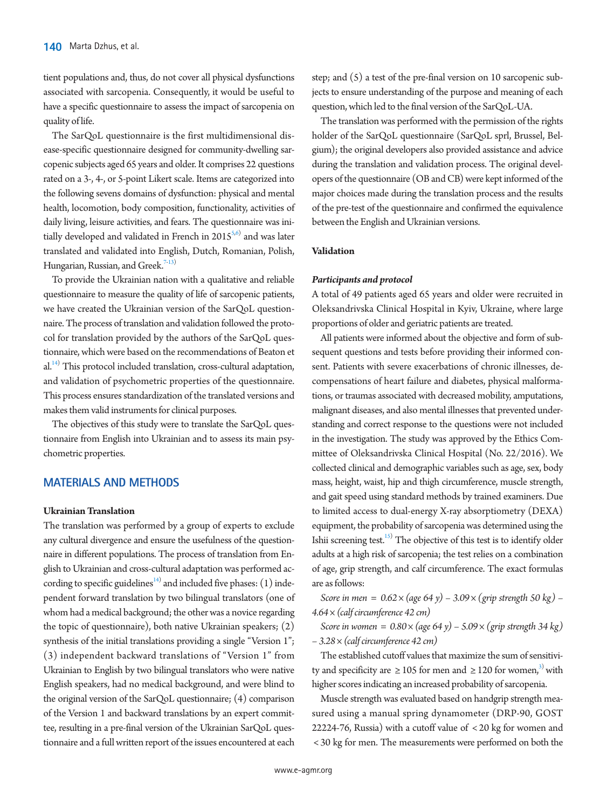tient populations and, thus, do not cover all physical dysfunctions associated with sarcopenia. Consequently, it would be useful to have a specific questionnaire to assess the impact of sarcopenia on quality of life.

The SarQoL questionnaire is the first multidimensional disease-specific questionnaire designed for community-dwelling sarcopenic subjects aged 65 years and older. It comprises 22 questions rated on a 3-, 4-, or 5-point Likert scale. Items are categorized into the following sevens domains of dysfunction: physical and mental health, locomotion, body composition, functionality, activities of daily living, leisure activities, and fears. The questionnaire was initially developed and validated in French in  $2015^{5,6}$  $2015^{5,6}$  $2015^{5,6}$  and was later translated and validated into English, Dutch, Romanian, Polish, Hungarian, Russian, and Greek.<sup>[7](#page-8-5)[-13\)](#page-8-6)</sup>

To provide the Ukrainian nation with a qualitative and reliable questionnaire to measure the quality of life of sarcopenic patients, we have created the Ukrainian version of the SarQoL questionnaire. The process of translation and validation followed the protocol for translation provided by the authors of the SarQoL questionnaire, which were based on the recommendations of Beaton et al.<sup>[14](#page-8-7))</sup> This protocol included translation, cross-cultural adaptation, and validation of psychometric properties of the questionnaire. This process ensures standardization of the translated versions and makes them valid instruments for clinical purposes.

The objectives of this study were to translate the SarQoL questionnaire from English into Ukrainian and to assess its main psychometric properties.

# **MATERIALS AND METHODS**

# **Ukrainian Translation**

The translation was performed by a group of experts to exclude any cultural divergence and ensure the usefulness of the questionnaire in different populations. The process of translation from English to Ukrainian and cross-cultural adaptation was performed according to specific guidelines $\frac{14}{1}$  and included five phases: (1) independent forward translation by two bilingual translators (one of whom had a medical background; the other was a novice regarding the topic of questionnaire), both native Ukrainian speakers; (2) synthesis of the initial translations providing a single "Version 1"; (3) independent backward translations of "Version 1" from Ukrainian to English by two bilingual translators who were native English speakers, had no medical background, and were blind to the original version of the SarQoL questionnaire; (4) comparison of the Version 1 and backward translations by an expert committee, resulting in a pre-final version of the Ukrainian SarQoL questionnaire and a full written report of the issues encountered at each

step; and (5) a test of the pre-final version on 10 sarcopenic subjects to ensure understanding of the purpose and meaning of each question, which led to the final version of the SarQoL-UA.

The translation was performed with the permission of the rights holder of the SarQoL questionnaire (SarQoL sprl, Brussel, Belgium); the original developers also provided assistance and advice during the translation and validation process. The original developers of the questionnaire (OB and CB) were kept informed of the major choices made during the translation process and the results of the pre-test of the questionnaire and confirmed the equivalence between the English and Ukrainian versions.

# **Validation**

# *Participants and protocol*

A total of 49 patients aged 65 years and older were recruited in Oleksandrivska Clinical Hospital in Kyiv, Ukraine, where large proportions of older and geriatric patients are treated.

All patients were informed about the objective and form of subsequent questions and tests before providing their informed consent. Patients with severe exacerbations of chronic illnesses, decompensations of heart failure and diabetes, physical malformations, or traumas associated with decreased mobility, amputations, malignant diseases, and also mental illnesses that prevented understanding and correct response to the questions were not included in the investigation. The study was approved by the Ethics Committee of Oleksandrivska Clinical Hospital (No. 22/2016). We collected clinical and demographic variables such as age, sex, body mass, height, waist, hip and thigh circumference, muscle strength, and gait speed using standard methods by trained examiners. Due to limited access to dual-energy X-ray absorptiometry (DEXA) equipment, the probability of sarcopenia was determined using the Ishii screening test.<sup>15)</sup> The objective of this test is to identify older adults at a high risk of sarcopenia; the test relies on a combination of age, grip strength, and calf circumference. The exact formulas are as follows:

*Score in men =*  $0.62 \times (age 64 y) - 3.09 \times (grip strength 50 kg)$  *– 4.64 × (calf circumference 42 cm)* 

*Score in women = 0.80 × (age 64 y) – 5.09 × (grip strength 34 kg) – 3.28 × (calf circumference 42 cm)*

The established cutoff values that maximize the sum of sensitivity and specificity are  $\geq 105$  for men and  $\geq 120$  for women,<sup>3)</sup> with higher scores indicating an increased probability of sarcopenia.

Muscle strength was evaluated based on handgrip strength measured using a manual spring dynamometer (DRP-90, GOST 22224-76, Russia) with a cutoff value of < 20 kg for women and < 30 kg for men. The measurements were performed on both the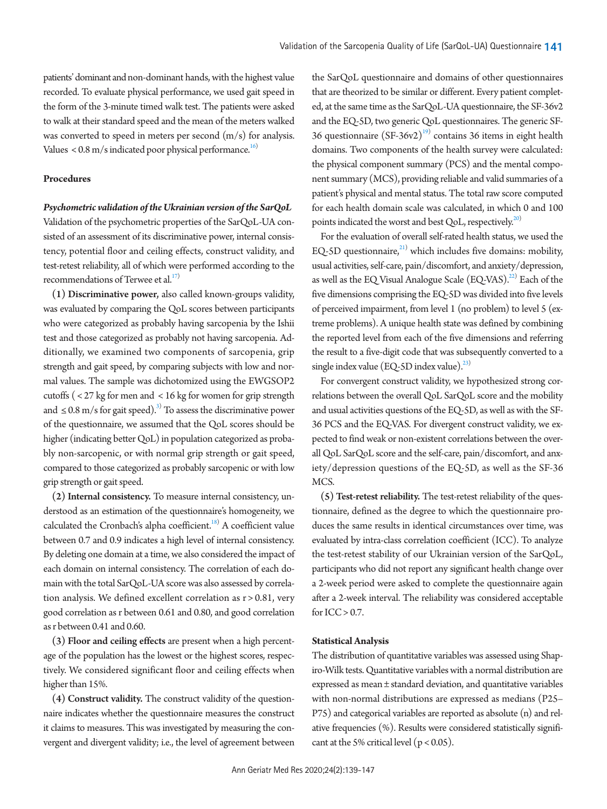patients' dominant and non-dominant hands, with the highest value recorded. To evaluate physical performance, we used gait speed in the form of the 3-minute timed walk test. The patients were asked to walk at their standard speed and the mean of the meters walked was converted to speed in meters per second  $(m/s)$  for analysis. Values  $<$  0.8 m/s indicated poor physical performance.<sup>16)</sup>

#### **Procedures**

# *Psychometric validation of the Ukrainian version of the SarQoL*

Validation of the psychometric properties of the SarQoL-UA consisted of an assessment of its discriminative power, internal consistency, potential floor and ceiling effects, construct validity, and test-retest reliability, all of which were performed according to the recommendations of Terwee et al. $^{17)}$  $^{17)}$  $^{17)}$ 

(1) Discriminative power, also called known-groups validity, was evaluated by comparing the QoL scores between participants who were categorized as probably having sarcopenia by the Ishii test and those categorized as probably not having sarcopenia. Additionally, we examined two components of sarcopenia, grip strength and gait speed, by comparing subjects with low and normal values. The sample was dichotomized using the EWGSOP2 cutoffs ( < 27 kg for men and < 16 kg for women for grip strength and  $\leq 0.8$  m/s for gait speed).<sup>3)</sup> To assess the discriminative power of the questionnaire, we assumed that the QoL scores should be higher (indicating better QoL) in population categorized as probably non-sarcopenic, or with normal grip strength or gait speed, compared to those categorized as probably sarcopenic or with low grip strength or gait speed.

(2) Internal consistency. To measure internal consistency, understood as an estimation of the questionnaire's homogeneity, we calculated the Cronbach's alpha coefficient. $^{18)}$  A coefficient value between 0.7 and 0.9 indicates a high level of internal consistency. By deleting one domain at a time, we also considered the impact of each domain on internal consistency. The correlation of each domain with the total SarQoL-UA score was also assessed by correlation analysis. We defined excellent correlation as r > 0.81, very good correlation as r between 0.61 and 0.80, and good correlation as r between 0.41 and 0.60.

(3) Floor and ceiling effects are present when a high percentage of the population has the lowest or the highest scores, respectively. We considered significant floor and ceiling effects when higher than 15%.

(4) Construct validity. The construct validity of the questionnaire indicates whether the questionnaire measures the construct it claims to measures. This was investigated by measuring the convergent and divergent validity; i.e., the level of agreement between

the SarQoL questionnaire and domains of other questionnaires that are theorized to be similar or different. Every patient completed, at the same time as the SarQoL-UA questionnaire, the SF-36v2 and the EQ-5D, two generic QoL questionnaires. The generic SF-36 questionnaire  $(SF-36v2)^{19}$  $(SF-36v2)^{19}$  $(SF-36v2)^{19}$  contains 36 items in eight health domains. Two components of the health survey were calculated: the physical component summary (PCS) and the mental component summary (MCS), providing reliable and valid summaries of a patient's physical and mental status. The total raw score computed for each health domain scale was calculated, in which 0 and 100 points indicated the worst and best QoL, respectively.<sup>20)</sup>

For the evaluation of overall self-rated health status, we used the EQ-5D questionnaire, $21$ ) which includes five domains: mobility, usual activities, self-care, pain/discomfort, and anxiety/depression, as well as the EQ Visual Analogue Scale  $(EQ\text{-}V\text{AS})$ .<sup>[22](#page-8-15))</sup> Each of the five dimensions comprising the EQ-5D was divided into five levels of perceived impairment, from level 1 (no problem) to level 5 (extreme problems). A unique health state was defined by combining the reported level from each of the five dimensions and referring the result to a five-digit code that was subsequently converted to a single index value (EQ-5D index value). $^{23)}$ 

For convergent construct validity, we hypothesized strong correlations between the overall QoL SarQoL score and the mobility and usual activities questions of the EQ-5D, as well as with the SF-36 PCS and the EQ-VAS. For divergent construct validity, we expected to find weak or non-existent correlations between the overall QoL SarQoL score and the self-care, pain/discomfort, and anxiety/depression questions of the EQ-5D, as well as the SF-36 MCS.

(5) Test-retest reliability. The test-retest reliability of the questionnaire, defined as the degree to which the questionnaire produces the same results in identical circumstances over time, was evaluated by intra-class correlation coefficient (ICC). To analyze the test-retest stability of our Ukrainian version of the SarQoL, participants who did not report any significant health change over a 2-week period were asked to complete the questionnaire again after a 2-week interval. The reliability was considered acceptable for  $ICC > 0.7$ .

# **Statistical Analysis**

The distribution of quantitative variables was assessed using Shapiro-Wilk tests. Quantitative variables with a normal distribution are expressed as mean ± standard deviation, and quantitative variables with non-normal distributions are expressed as medians (P25– P75) and categorical variables are reported as absolute (n) and relative frequencies (%). Results were considered statistically significant at the 5% critical level ( $p < 0.05$ ).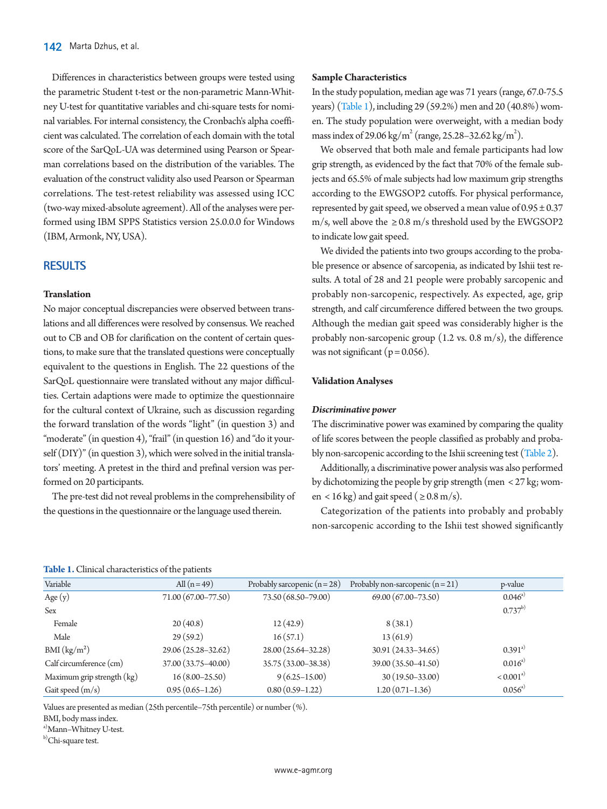Differences in characteristics between groups were tested using the parametric Student t-test or the non-parametric Mann-Whitney U-test for quantitative variables and chi-square tests for nominal variables. For internal consistency, the Cronbach's alpha coefficient was calculated. The correlation of each domain with the total score of the SarQoL-UA was determined using Pearson or Spearman correlations based on the distribution of the variables. The evaluation of the construct validity also used Pearson or Spearman correlations. The test-retest reliability was assessed using ICC (two-way mixed-absolute agreement). All of the analyses were performed using IBM SPPS Statistics version 25.0.0.0 for Windows (IBM, Armonk, NY, USA).

# **RESULTS**

#### **Translation**

No major conceptual discrepancies were observed between translations and all differences were resolved by consensus. We reached out to CB and OB for clarification on the content of certain questions, to make sure that the translated questions were conceptually equivalent to the questions in English. The 22 questions of the SarQoL questionnaire were translated without any major difficulties. Certain adaptions were made to optimize the questionnaire for the cultural context of Ukraine, such as discussion regarding the forward translation of the words "light" (in question 3) and "moderate" (in question 4), "frail" (in question 16) and "do it yourself (DIY)" (in question 3), which were solved in the initial translators' meeting. A pretest in the third and prefinal version was performed on 20 participants.

The pre-test did not reveal problems in the comprehensibility of the questions in the questionnaire or the language used therein.

#### **Sample Characteristics**

In the study population, median age was 71 years (range, 67.0-75.5 years) [\(Table 1\)](#page-3-0), including 29 (59.2%) men and 20 (40.8%) women. The study population were overweight, with a median body mass index of 29.06 kg/m<sup>2</sup> (range, 25.28–32.62 kg/m<sup>2</sup>).

We observed that both male and female participants had low grip strength, as evidenced by the fact that 70% of the female subjects and 65.5% of male subjects had low maximum grip strengths according to the EWGSOP2 cutoffs. For physical performance, represented by gait speed, we observed a mean value of  $0.95 \pm 0.37$ m/s, well above the  $\geq 0.8$  m/s threshold used by the EWGSOP2 to indicate low gait speed.

We divided the patients into two groups according to the probable presence or absence of sarcopenia, as indicated by Ishii test results. A total of 28 and 21 people were probably sarcopenic and probably non-sarcopenic, respectively. As expected, age, grip strength, and calf circumference differed between the two groups. Although the median gait speed was considerably higher is the probably non-sarcopenic group (1.2 vs. 0.8 m/s), the difference was not significant ( $p = 0.056$ ).

#### **Validation Analyses**

#### *Discriminative power*

The discriminative power was examined by comparing the quality of life scores between the people classified as probably and probably non-sarcopenic according to the Ishii screening test [\(Table 2\)](#page-4-0).

Additionally, a discriminative power analysis was also performed by dichotomizing the people by grip strength (men < 27 kg; women < 16 kg) and gait speed ( $\geq 0.8$  m/s).

Categorization of the patients into probably and probably non-sarcopenic according to the Ishii test showed significantly

#### <span id="page-3-0"></span>**Table 1.** Clinical characteristics of the patients

| Variable                   | All $(n=49)$        | Probably sarcopenic $(n=28)$ | Probably non-sarcopenic $(n=21)$ | p-value              |
|----------------------------|---------------------|------------------------------|----------------------------------|----------------------|
| Age $(y)$                  | 71.00 (67.00–77.50) | 73.50 (68.50-79.00)          | 69.00 (67.00-73.50)              | $0.046^{a}$          |
| Sex                        |                     |                              |                                  | $0.737^{b)}$         |
| Female                     | 20(40.8)            | 12(42.9)                     | 8(38.1)                          |                      |
| Male                       | 29(59.2)            | 16(57.1)                     | 13(61.9)                         |                      |
| BMI (kg/m <sup>2</sup> )   | 29.06 (25.28-32.62) | 28.00 (25.64-32.28)          | 30.91 (24.33-34.65)              | $0.391^{a}$          |
| Calf circumference (cm)    | 37.00 (33.75-40.00) | 35.75 (33.00-38.38)          | 39.00 (35.50-41.50)              | $0.016^{a}$          |
| Maximum grip strength (kg) | $16(8.00-25.50)$    | $9(6.25 - 15.00)$            | $30(19.50 - 33.00)$              | < 0.001 <sup>a</sup> |
| Gait speed $(m/s)$         | $0.95(0.65-1.26)$   | $0.80(0.59-1.22)$            | $1.20(0.71-1.36)$                | $0.056^{a}$          |
|                            |                     |                              |                                  |                      |

Values are presented as median (25th percentile–75th percentile) or number (%).

BMI, body mass index.

a)Mann–Whitney U-test.

b)Chi-square test.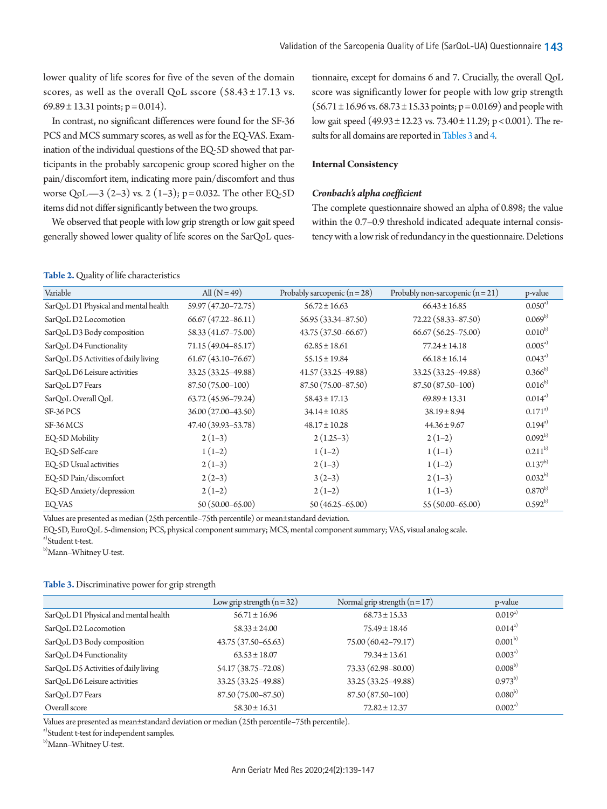lower quality of life scores for five of the seven of the domain scores, as well as the overall QoL sscore  $(58.43 \pm 17.13 \text{ vs.}$  $69.89 \pm 13.31$  points; p = 0.014).

In contrast, no significant differences were found for the SF-36 PCS and MCS summary scores, as well as for the EQ-VAS. Examination of the individual questions of the EQ-5D showed that participants in the probably sarcopenic group scored higher on the pain/discomfort item, indicating more pain/discomfort and thus worse QoL—3 (2–3) vs. 2 (1–3); p = 0.032. The other EQ-5D items did not differ significantly between the two groups.

We observed that people with low grip strength or low gait speed generally showed lower quality of life scores on the SarQoL ques-

#### <span id="page-4-0"></span>**Table 2.** Quality of life characteristics

tionnaire, except for domains 6 and 7. Crucially, the overall QoL score was significantly lower for people with low grip strength  $(56.71 \pm 16.96 \text{ vs. } 68.73 \pm 15.33 \text{ points}; p = 0.0169)$  and people with low gait speed (49.93 ± 12.23 vs. 73.40 ± 11.29; p < 0.001). The re-sults for all domains are reported in Tables 3 and [4.](#page-5-0)

# **Internal Consistency**

# *Cronbach's alpha coefficient*

The complete questionnaire showed an alpha of 0.898; the value within the 0.7–0.9 threshold indicated adequate internal consistency with a low risk of redundancy in the questionnaire. Deletions

| Variable                             | All $(N=49)$           | Probably sarcopenic $(n = 28)$ | Probably non-sarcopenic $(n=21)$ | p-value      |
|--------------------------------------|------------------------|--------------------------------|----------------------------------|--------------|
| SarQoL D1 Physical and mental health | 59.97 (47.20–72.75)    | $56.72 \pm 16.63$              | $66.43 \pm 16.85$                | $0.050^{a}$  |
| SarQoL D2 Locomotion                 | $66.67(47.22 - 86.11)$ | 56.95 (33.34-87.50)            | 72.22 (58.33-87.50)              | $0.069^{b)}$ |
| SarQoL D3 Body composition           | 58.33 (41.67-75.00)    | 43.75 (37.50 - 66.67)          | $66.67$ $(56.25 - 75.00)$        | $0.010^{b}$  |
| SarQoL D4 Functionality              | 71.15 (49.04-85.17)    | $62.85 \pm 18.61$              | $77.24 \pm 14.18$                | $0.005^{a}$  |
| SarQoL D5 Activities of daily living | $61.67(43.10 - 76.67)$ | $55.15 \pm 19.84$              | $66.18 \pm 16.14$                | $0.043^{a}$  |
| SarQoL D6 Leisure activities         | 33.25 (33.25 - 49.88)  | $41.57(33.25 - 49.88)$         | 33.25 (33.25 - 49.88)            | $0.366^{b}$  |
| SarQoL D7 Fears                      | 87.50 (75.00-100)      | 87.50 (75.00-87.50)            | 87.50 (87.50-100)                | $0.016^{b}$  |
| SarQoL Overall QoL                   | 63.72 (45.96-79.24)    | $58.43 \pm 17.13$              | $69.89 \pm 13.31$                | $0.014^{a}$  |
| SF-36 PCS                            | 36.00 (27.00-43.50)    | $34.14 \pm 10.85$              | $38.19 \pm 8.94$                 | $0.171^{a}$  |
| SF-36 MCS                            | 47.40 (39.93 - 53.78)  | $48.17 \pm 10.28$              | $44.36 \pm 9.67$                 | $0.194^{a}$  |
| EQ-5D Mobility                       | $2(1-3)$               | $2(1.25-3)$                    | $2(1-2)$                         | $0.092^{b}$  |
| EQ-5D Self-care                      | $1(1-2)$               | $1(1-2)$                       | $1(1-1)$                         | $0.211^{b}$  |
| EQ-5D Usual activities               | $2(1-3)$               | $2(1-3)$                       | $1(1-2)$                         | $0.137^{b}$  |
| EQ-5D Pain/discomfort                | $2(2-3)$               | $3(2-3)$                       | $2(1-3)$                         | $0.032^{b}$  |
| EQ-5D Anxiety/depression             | $2(1-2)$               | $2(1-2)$                       | $1(1-3)$                         | $0.870^{b}$  |
| EQ-VAS                               | $50(50.00 - 65.00)$    | $50(46.25 - 65.00)$            | 55 (50.00 - 65.00)               | $0.592^{b}$  |

Values are presented as median (25th percentile–75th percentile) or mean±standard deviation.

EQ-5D, EuroQoL 5-dimension; PCS, physical component summary; MCS, mental component summary; VAS, visual analog scale.

a)Student t-test.

b)Mann-Whitney U-test.

#### <span id="page-4-1"></span>**Table 3.** Discriminative power for grip strength

|                                      | Low grip strength $(n=32)$ | Normal grip strength $(n=17)$ | p-value      |
|--------------------------------------|----------------------------|-------------------------------|--------------|
| SarQoL D1 Physical and mental health | $56.71 \pm 16.96$          | $68.73 \pm 15.33$             | $0.019^{a)}$ |
| SarOoL D2 Locomotion                 | $58.33 \pm 24.00$          | $75.49 \pm 18.46$             | $0.014^{a}$  |
| SarQoL D3 Body composition           | 43.75 (37.50–65.63)        | 75.00 (60.42-79.17)           | $0.001^{b}$  |
| SarQoL D4 Functionality              | $63.53 \pm 18.07$          | $79.34 \pm 13.61$             | $0.003^{a}$  |
| SarQoL D5 Activities of daily living | 54.17 (38.75 - 72.08)      | 73.33 (62.98-80.00)           | $0.008^{b}$  |
| SarOoL D6 Leisure activities         | 33.25 (33.25 - 49.88)      | 33.25 (33.25 - 49.88)         | $0.973^{b}$  |
| SarQoL D7 Fears                      | 87.50 (75.00-87.50)        | 87.50 (87.50-100)             | $0.080^{b)}$ |
| Overall score                        | $58.30 \pm 16.31$          | $72.82 \pm 12.37$             | $0.002^{a}$  |

Values are presented as mean±standard deviation or median (25th percentile–75th percentile).

a) Student t-test for independent samples.

b)Mann–Whitney U-test.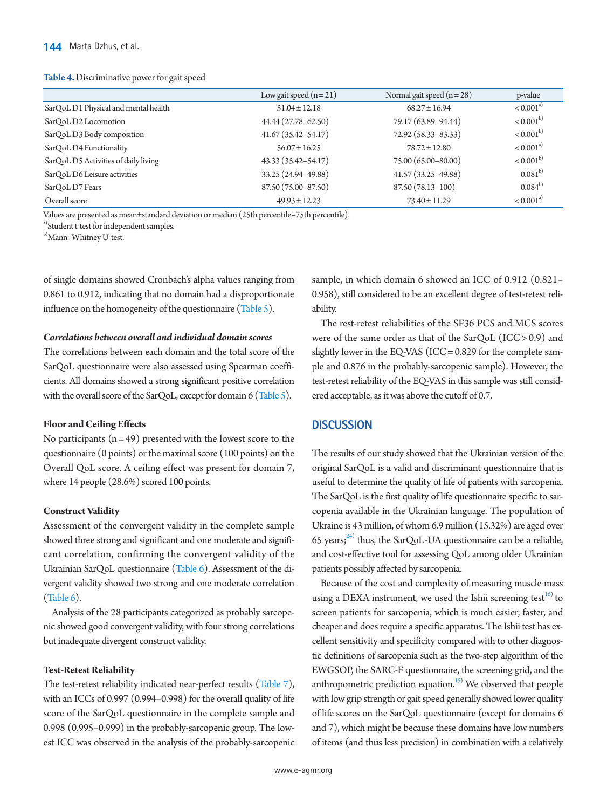#### <span id="page-5-0"></span>**Table 4.** Discriminative power for gait speed

|                                      | Low gait speed $(n=21)$ | Normal gait speed $(n=28)$ | p-value              |
|--------------------------------------|-------------------------|----------------------------|----------------------|
| SarQoL D1 Physical and mental health | $51.04 \pm 12.18$       | $68.27 \pm 16.94$          | < 0.001 <sup>a</sup> |
| SarOoL D2 Locomotion                 | 44.44 (27.78–62.50)     | 79.17 (63.89-94.44)        | $< 0.001^{b}$        |
| SarQoL D3 Body composition           | $41.67(35.42 - 54.17)$  | 72.92 (58.33-83.33)        | $< 0.001^{b}$        |
| SarQoL D4 Functionality              | $56.07 \pm 16.25$       | $78.72 \pm 12.80$          | < 0.001 <sup>a</sup> |
| SarQoL D5 Activities of daily living | 43.33 (35.42–54.17)     | 75.00 (65.00-80.00)        | $< 0.001^{b}$        |
| SarOoL D6 Leisure activities         | 33.25 (24.94-49.88)     | 41.57 (33.25-49.88)        | $0.081^{b}$          |
| SarQoL D7 Fears                      | 87.50 (75.00-87.50)     | 87.50 (78.13-100)          | $0.084^{b}$          |
| Overall score                        | $49.93 \pm 12.23$       | $73.40 \pm 11.29$          | < 0.001 <sup>a</sup> |

Values are presented as mean±standard deviation or median (25th percentile–75th percentile).

a) Student t-test for independent samples.

b)Mann–Whitney U-test.

of single domains showed Cronbach's alpha values ranging from 0.861 to 0.912, indicating that no domain had a disproportionate influence on the homogeneity of the questionnaire [\(Table 5](#page-6-0)).

# *Correlations between overall and individual domain scores*

The correlations between each domain and the total score of the SarQoL questionnaire were also assessed using Spearman coefficients. All domains showed a strong significant positive correlation with the overall score of the SarQoL, except for domain 6 [\(Table 5](#page-6-0)).

# **Floor and Ceiling Effects**

No participants  $(n = 49)$  presented with the lowest score to the questionnaire (0 points) or the maximal score (100 points) on the Overall QoL score. A ceiling effect was present for domain 7, where 14 people (28.6%) scored 100 points.

#### **Construct Validity**

Assessment of the convergent validity in the complete sample showed three strong and significant and one moderate and significant correlation, confirming the convergent validity of the Ukrainian SarQoL questionnaire [\(Table 6](#page-6-1)). Assessment of the divergent validity showed two strong and one moderate correlation [\(Table 6\)](#page-6-1).

Analysis of the 28 participants categorized as probably sarcopenic showed good convergent validity, with four strong correlations but inadequate divergent construct validity.

#### **Test-Retest Reliability**

The test-retest reliability indicated near-perfect results [\(Table 7\)](#page-6-2), with an ICCs of 0.997 (0.994–0.998) for the overall quality of life score of the SarQoL questionnaire in the complete sample and 0.998 (0.995–0.999) in the probably-sarcopenic group. The lowest ICC was observed in the analysis of the probably-sarcopenic

sample, in which domain 6 showed an ICC of 0.912 (0.821– 0.958), still considered to be an excellent degree of test-retest reliability.

The rest-retest reliabilities of the SF36 PCS and MCS scores were of the same order as that of the SarQoL (ICC > 0.9) and slightly lower in the EQ-VAS (ICC = 0.829 for the complete sample and 0.876 in the probably-sarcopenic sample). However, the test-retest reliability of the EQ-VAS in this sample was still considered acceptable, as it was above the cutoff of 0.7.

# **DISCUSSION**

The results of our study showed that the Ukrainian version of the original SarQoL is a valid and discriminant questionnaire that is useful to determine the quality of life of patients with sarcopenia. The SarQoL is the first quality of life questionnaire specific to sarcopenia available in the Ukrainian language. The population of Ukraine is 43 million, of whom 6.9 million (15.32%) are aged over 65 years; $^{24}$  thus, the SarQoL-UA questionnaire can be a reliable, and cost-effective tool for assessing QoL among older Ukrainian patients possibly affected by sarcopenia.

Because of the cost and complexity of measuring muscle mass using a DEXA instrument, we used the Ishii screening test $^{16}$  to screen patients for sarcopenia, which is much easier, faster, and cheaper and does require a specific apparatus. The Ishii test has excellent sensitivity and specificity compared with to other diagnostic definitions of sarcopenia such as the two-step algorithm of the EWGSOP, the SARC-F questionnaire, the screening grid, and the anthropometric prediction equation.<sup>15)</sup> We observed that people with low grip strength or gait speed generally showed lower quality of life scores on the SarQoL questionnaire (except for domains 6 and 7), which might be because these domains have low numbers of items (and thus less precision) in combination with a relatively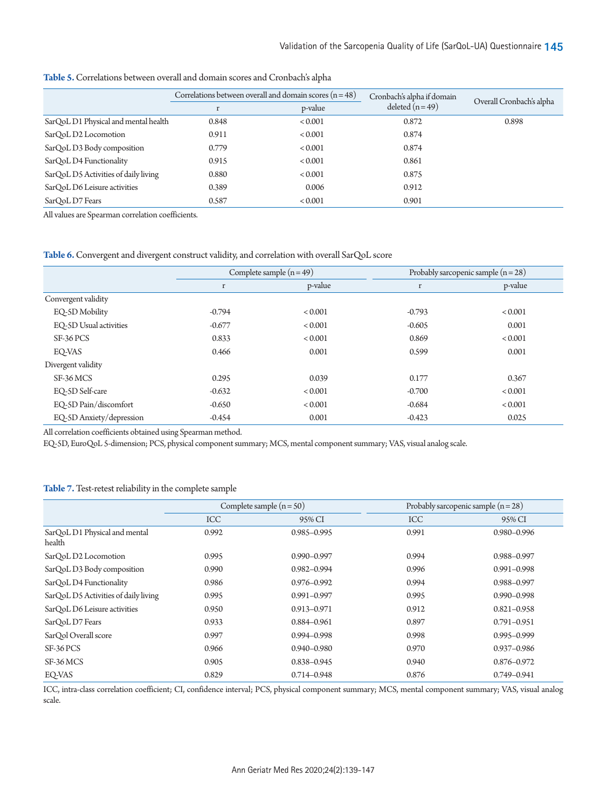|                                      | Correlations between overall and domain scores $(n = 48)$ |                | Cronbach's alpha if domain |                          |
|--------------------------------------|-----------------------------------------------------------|----------------|----------------------------|--------------------------|
|                                      |                                                           | p-value        | deleted $(n=49)$           | Overall Cronbach's alpha |
| SarQoL D1 Physical and mental health | 0.848                                                     | ${}_{< 0.001}$ | 0.872                      | 0.898                    |
| SarOoL D2 Locomotion                 | 0.911                                                     | ${}_{< 0.001}$ | 0.874                      |                          |
| SarQoL D3 Body composition           | 0.779                                                     | ${}_{< 0.001}$ | 0.874                      |                          |
| SarOoL D4 Functionality              | 0.915                                                     | ${}_{< 0.001}$ | 0.861                      |                          |
| SarQoL D5 Activities of daily living | 0.880                                                     | ${}_{< 0.001}$ | 0.875                      |                          |
| SarOoL D6 Leisure activities         | 0.389                                                     | 0.006          | 0.912                      |                          |
| SarQoL D7 Fears                      | 0.587                                                     | ${}_{< 0.001}$ | 0.901                      |                          |

<span id="page-6-0"></span>**Table 5.** Correlations between overall and domain scores and Cronbach's alpha

All values are Spearman correlation coefficients.

#### <span id="page-6-1"></span>**Table 6.** Convergent and divergent construct validity, and correlation with overall SarQoL score

|                          | Complete sample $(n=49)$ |                | Probably sarcopenic sample $(n = 28)$ |                |
|--------------------------|--------------------------|----------------|---------------------------------------|----------------|
|                          | r                        | p-value        | $\mathbf r$                           | p-value        |
| Convergent validity      |                          |                |                                       |                |
| EQ-5D Mobility           | $-0.794$                 | ${}_{< 0.001}$ | $-0.793$                              | ${}_{< 0.001}$ |
| EO-5D Usual activities   | $-0.677$                 | ${}_{< 0.001}$ | $-0.605$                              | 0.001          |
| SF-36 PCS                | 0.833                    | ${}_{< 0.001}$ | 0.869                                 | ${}_{< 0.001}$ |
| EO-VAS                   | 0.466                    | 0.001          | 0.599                                 | 0.001          |
| Divergent validity       |                          |                |                                       |                |
| SF-36 MCS                | 0.295                    | 0.039          | 0.177                                 | 0.367          |
| EQ-5D Self-care          | $-0.632$                 | ${}_{< 0.001}$ | $-0.700$                              | ${}_{< 0.001}$ |
| EO-5D Pain/discomfort    | $-0.650$                 | ${}_{< 0.001}$ | $-0.684$                              | ${}_{< 0.001}$ |
| EQ-5D Anxiety/depression | $-0.454$                 | 0.001          | $-0.423$                              | 0.025          |

All correlation coefficients obtained using Spearman method.

EQ-5D, EuroQoL 5-dimension; PCS, physical component summary; MCS, mental component summary; VAS, visual analog scale.

# <span id="page-6-2"></span>**Table 7.** Test-retest reliability in the complete sample

|                                         | Complete sample $(n = 50)$ |                 | Probably sarcopenic sample $(n=28)$ |                 |
|-----------------------------------------|----------------------------|-----------------|-------------------------------------|-----------------|
|                                         | <b>ICC</b>                 | 95% CI          | <b>ICC</b>                          | 95% CI          |
| SarQoL D1 Physical and mental<br>health | 0.992                      | 0.985-0.995     | 0.991                               | 0.980-0.996     |
| SarOoL D2 Locomotion                    | 0.995                      | $0.990 - 0.997$ | 0.994                               | 0.988-0.997     |
| SarQoL D3 Body composition              | 0.990                      | $0.982 - 0.994$ | 0.996                               | $0.991 - 0.998$ |
| SarQoL D4 Functionality                 | 0.986                      | $0.976 - 0.992$ | 0.994                               | 0.988-0.997     |
| SarQoL D5 Activities of daily living    | 0.995                      | $0.991 - 0.997$ | 0.995                               | $0.990 - 0.998$ |
| SarOoL D6 Leisure activities            | 0.950                      | $0.913 - 0.971$ | 0.912                               | $0.821 - 0.958$ |
| SarQoL D7 Fears                         | 0.933                      | 0.884-0.961     | 0.897                               | $0.791 - 0.951$ |
| SarOol Overall score                    | 0.997                      | 0.994-0.998     | 0.998                               | $0.995 - 0.999$ |
| SF-36 PCS                               | 0.966                      | $0.940 - 0.980$ | 0.970                               | $0.937 - 0.986$ |
| SF-36 MCS                               | 0.905                      | 0.838-0.945     | 0.940                               | $0.876 - 0.972$ |
| EQ-VAS                                  | 0.829                      | 0.714-0.948     | 0.876                               | $0.749 - 0.941$ |

ICC, intra-class correlation coefficient; CI, confidence interval; PCS, physical component summary; MCS, mental component summary; VAS, visual analog scale.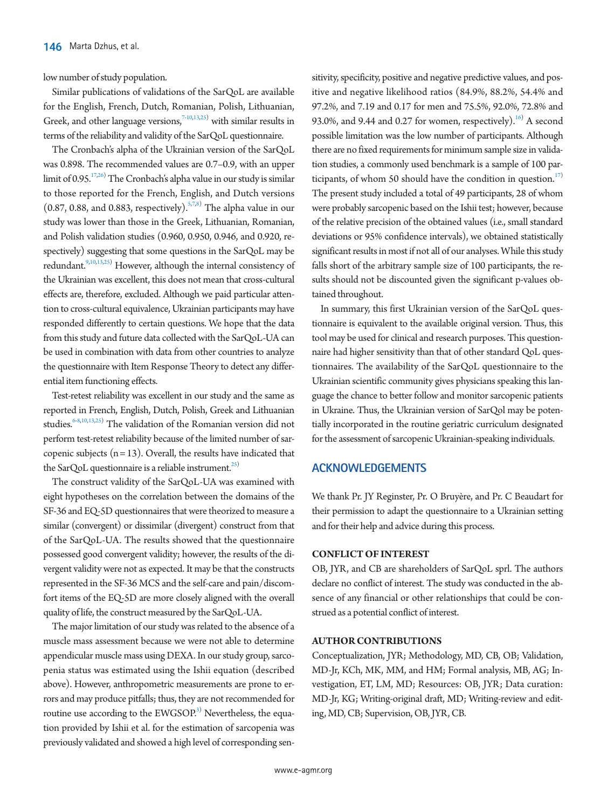low number of study population.

Similar publications of validations of the SarQoL are available for the English, French, Dutch, Romanian, Polish, Lithuanian, Greek, and other language versions, $7-10,13,25$  $7-10,13,25$  $7-10,13,25$  with similar results in terms of the reliability and validity of the SarQoL questionnaire.

The Cronbach's alpha of the Ukrainian version of the SarQoL was 0.898. The recommended values are 0.7–0.9, with an upper limit of 0.95. $17,26$ ) The Cronbach's alpha value in our study is similar to those reported for the French, English, and Dutch versions  $(0.87, 0.88,$  and 0.883, respectively).<sup>5,7,[8\)](#page-8-3)</sup> The alpha value in our study was lower than those in the Greek, Lithuanian, Romanian, and Polish validation studies (0.960, 0.950, 0.946, and 0.920, respectively) suggesting that some questions in the SarQoL may be redundant.<sup>9[,10,](#page-8-19)13[,25\)](#page-8-20)</sup> However, although the internal consistency of the Ukrainian was excellent, this does not mean that cross-cultural effects are, therefore, excluded. Although we paid particular attention to cross-cultural equivalence, Ukrainian participants may have responded differently to certain questions. We hope that the data from this study and future data collected with the SarQoL-UA can be used in combination with data from other countries to analyze the questionnaire with Item Response Theory to detect any differential item functioning effects.

Test-retest reliability was excellent in our study and the same as reported in French, English, Dutch, Polish, Greek and Lithuanian studies.  $6-8,10,13,25$  The validation of the Romanian version did not perform test-retest reliability because of the limited number of sarcopenic subjects  $(n = 13)$ . Overall, the results have indicated that the SarQoL questionnaire is a reliable instrument.<sup>25)</sup>

The construct validity of the SarQoL-UA was examined with eight hypotheses on the correlation between the domains of the SF-36 and EQ-5D questionnaires that were theorized to measure a similar (convergent) or dissimilar (divergent) construct from that of the SarQoL-UA. The results showed that the questionnaire possessed good convergent validity; however, the results of the divergent validity were not as expected. It may be that the constructs represented in the SF-36 MCS and the self-care and pain/discomfort items of the EQ-5D are more closely aligned with the overall quality of life, the construct measured by the SarQoL-UA.

The major limitation of our study was related to the absence of a muscle mass assessment because we were not able to determine appendicular muscle mass using DEXA. In our study group, sarcopenia status was estimated using the Ishii equation (described above). However, anthropometric measurements are prone to errors and may produce pitfalls; thus, they are not recommended for routine use according to the  $\mathrm{EWGSOP.}^{3)}$  Nevertheless, the equation provided by Ishii et al. for the estimation of sarcopenia was previously validated and showed a high level of corresponding sen-

sitivity, specificity, positive and negative predictive values, and positive and negative likelihood ratios (84.9%, 88.2%, 54.4% and 97.2%, and 7.19 and 0.17 for men and 75.5%, 92.0%, 72.8% and 93.0%, and 9.44 and 0.27 for women, respectively).<sup>16</sup> A second possible limitation was the low number of participants. Although there are no fixed requirements for minimum sample size in validation studies, a commonly used benchmark is a sample of 100 participants, of whom 50 should have the condition in question. $17$ The present study included a total of 49 participants, 28 of whom were probably sarcopenic based on the Ishii test; however, because of the relative precision of the obtained values (i.e., small standard deviations or 95% confidence intervals), we obtained statistically significant results in most if not all of our analyses. While this study falls short of the arbitrary sample size of 100 participants, the results should not be discounted given the significant p-values obtained throughout.

In summary, this first Ukrainian version of the SarQoL questionnaire is equivalent to the available original version. Thus, this tool may be used for clinical and research purposes. This questionnaire had higher sensitivity than that of other standard QoL questionnaires. The availability of the SarQoL questionnaire to the Ukrainian scientific community gives physicians speaking this language the chance to better follow and monitor sarcopenic patients in Ukraine. Thus, the Ukrainian version of SarQol may be potentially incorporated in the routine geriatric curriculum designated for the assessment of sarcopenic Ukrainian-speaking individuals.

# **ACKNOWLEDGEMENTS**

We thank Pr. JY Reginster, Pr. O Bruyère, and Pr. C Beaudart for their permission to adapt the questionnaire to a Ukrainian setting and for their help and advice during this process.

# **CONFLICT OF INTEREST**

OB, JYR, and CB are shareholders of SarQoL sprl. The authors declare no conflict of interest. The study was conducted in the absence of any financial or other relationships that could be construed as a potential conflict of interest.

# **AUTHOR CONTRIBUTIONS**

Conceptualization, JYR; Methodology, MD, CB, OB; Validation, MD-Jr, KCh, MK, MM, and HM; Formal analysis, MB, AG; Investigation, ET, LM, MD; Resources: OB, JYR; Data curation: MD-Jr, KG; Writing-original draft, MD; Writing-review and editing, MD, CB; Supervision, OB, JYR, CB.